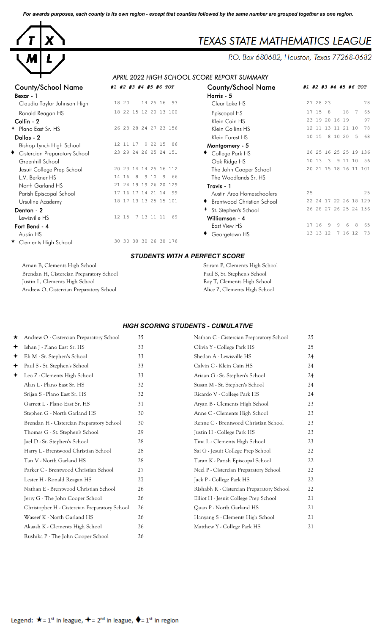*For awards purposes, each county is its own region - except that counties followed by the same number are grouped together as one region.*



# **TEXAS STATE MATHEMATICS LEAGUE**

P.O. Box 680682, Houston, Texas 77268-0682

## *APRIL 2022 HIGH SCHOOL SCORE REPORT SUMMARY*

| COUNTY/SCROOT INQUITE         | #1 #2 #3 #4 #9 #6 IUI         | County/Scribol Name               | #+             |
|-------------------------------|-------------------------------|-----------------------------------|----------------|
| Bexar - 1                     |                               | Harris - 5                        |                |
| Claudia Taylor Johnson High   | 18 20<br>14 25 16 93          | Clear Lake HS                     | $\overline{c}$ |
| Ronald Reagan HS              | 18 22 15 12 20 13 100         | Episcopal HS                      | $\mathbf{1}$   |
| Collin - 2                    |                               | Klein Cain HS                     | $\overline{c}$ |
| + Plano East Sr. HS           | 26 28 28 24 27 23 156         | Klein Collins HS                  | $\mathbf{1}$   |
| Dallas - 2                    |                               | Klein Forest HS                   | 1              |
| Bishop Lynch High School      | 12 11 17<br>9 22 15<br>86     | Montgomery - 5                    |                |
| Cistercian Preparatory School | 23 29 24 26 25 24 151         | College Park HS                   | $\overline{c}$ |
| Greenhill School              |                               | Oak Ridge HS                      | $\mathbf{1}$   |
| Jesuit College Prep School    | 20 23 14 14 25 16 112         | The John Cooper School            | $\overline{c}$ |
| L.V. Berkner HS               | 14 16<br>8<br>9 10<br>9<br>66 | The Woodlands Sr. HS              |                |
| North Garland HS              | 21 24 19 19 26 20 129         | Travis - 1                        |                |
| Parish Episcopal School       | 17 16 17 14 21 14<br>-99      | Austin Area Homeschoolers         | $\overline{c}$ |
| Ursuline Academy              | 18 17 13 13 25 15 101         | ♦ Brentwood Christian School      | $\overline{c}$ |
| Denton - 2                    |                               | <sup>+</sup> St. Stephen's School | $\overline{c}$ |
| Lewisville HS                 | 7 13 11 11<br>12 15<br>69     | Williamson - 4                    |                |
| Fort Bend - 4                 |                               | East View HS                      | 1              |
| Austin HS                     |                               | Georgetown HS                     | $\mathbf{1}$   |
| ★ Clements High School        | 30 30 30 30 26 30 176         |                                   |                |
|                               |                               |                                   |                |

| <b>County/School Name</b><br>Bexar - 1 | #1 #2 #3 #4 #5 #6 TOT          | <b>County/School Name</b><br>Harris - 5 | #1 #2 #3 #4 #5 #6 TOT              |
|----------------------------------------|--------------------------------|-----------------------------------------|------------------------------------|
| Claudia Taylor Johnson High            | 14 25 16<br>18 20<br>-93       | Clear Lake HS                           | 27 28 23<br>78                     |
| Ronald Reagan HS                       | 18 22 15 12 20 13 100          | Episcopal HS                            | 18<br>17 15<br>8<br>7<br>65        |
| Collin - 2                             |                                | Klein Cain HS                           | 23 19 20 16 19<br>97               |
| ← Plano East Sr. HS                    | 26 28 28 24 27 23 156          | Klein Collins HS                        | 78<br>12 11 13 11 21 10            |
| Dallas - 2                             |                                | Klein Forest HS                         | 10 15<br>8 10 20<br>-5<br>68       |
| Bishop Lynch High School               | 9 22 15<br>12 11 17<br>86      | Montgomery - 5                          |                                    |
| Cistercian Preparatory School          | 23 29 24 26 25 24 151          | College Park HS                         | 26 25 16 25 25 19 136              |
| Greenhill School                       |                                | Oak Ridge HS                            | 9 11 10<br>10 13<br>3<br>56        |
| Jesuit College Prep School             | 20 23 14 14 25 16 112          | The John Cooper School                  | 20 21 15 18 16 11 101              |
| L.V. Berkner HS                        | 14 16<br>9 10<br>-9<br>8<br>66 | The Woodlands Sr. HS                    |                                    |
| North Garland HS                       | 21 24 19 19 26 20 129          | Travis - 1                              |                                    |
| Parish Episcopal School                | 17 16 17 14 21 14<br>-99       | Austin Area Homeschoolers               | 25<br>25                           |
| Ursuline Academy                       | 18 17 13 13 25 15 101          | <b>Brentwood Christian School</b>       | 22 24 17 22 26 18 129              |
| Denton - 2                             |                                | + St. Stephen's School                  | 26 28 27 26 25 24 156              |
| Lewisville HS                          | 12 15<br>7 13 11 11<br>69      | Williamson - 4                          |                                    |
| Fort Bend - 4                          |                                | East View HS                            | 16<br>9<br>8<br>17<br>9<br>6<br>65 |
| Austin HS                              |                                | Georgetown HS                           | 13 13 12<br>7 16 12<br>73          |
| ★ Clamants High School                 | 30 30 30 30 26 30 176          |                                         |                                    |

### *STUDENTS WITH A PERFECT SCORE*

Arnan B, Clements High School Sriram P, Clements High School Sriram P, Clements High School Brendan H, Cistercian Preparatory School Paul S, St. Stephen's School Paul S, St. Stephen's School Justin L, Clements High School Ray T, Clements High School Andrew O, Cistercian Preparatory School Alice Z, Clements High School Alice Z, Clements High School

#### *HIGH SCORING STUDENTS - CUMULATIVE*

| ★ | Andrew O - Cistercian Preparatory School      | 35 | Nathan C - Cistercian Preparatory School  | 25 |
|---|-----------------------------------------------|----|-------------------------------------------|----|
| ✦ | Ishan J - Plano East Sr. HS                   | 33 | Olivia Y - College Park HS                | 25 |
| ✦ | Eli M - St. Stephen's School                  | 33 | Shedan A - Lewisville HS                  | 24 |
| ✦ | Paul S - St. Stephen's School                 | 33 | Calvin C - Klein Cain HS                  | 24 |
| ✦ | Leo Z - Clements High School                  | 33 | Ariaan G - St. Stephen's School           | 24 |
|   | Alan L - Plano East Sr. HS                    | 32 | Susan M - St. Stephen's School            | 24 |
|   | Srijan S - Plano East Sr. HS                  | 32 | Ricardo V - College Park HS               | 24 |
|   | Garrett L - Plano East Sr. HS                 | 31 | Aryan B - Clements High School            | 23 |
|   | Stephen G - North Garland HS                  | 30 | Anne C - Clements High School             | 23 |
|   | Brendan H - Cistercian Preparatory School     | 30 | Renne C - Brentwood Christian School      | 23 |
|   | Thomas G - St. Stephen's School               | 29 | Justin H - College Park HS                | 23 |
|   | Jael D - St. Stephen's School                 | 28 | Tina L - Clements High School             | 23 |
|   | Harry L - Brentwood Christian School          | 28 | Sai G - Jesuit College Prep School        | 22 |
|   | Tan V - North Garland HS                      | 28 | Taran K - Parish Episcopal School         | 22 |
|   | Parker C - Brentwood Christian School         | 27 | Neel P - Cistercian Preparatory School    | 22 |
|   | Lester H - Ronald Reagan HS                   | 27 | Jack P - College Park HS                  | 22 |
|   | Nathan E - Brentwood Christian School         | 26 | Rishabh R - Cistercian Preparatory School | 22 |
|   | Jerry G - The John Cooper School              | 26 | Elliot H - Jesuit College Prep School     | 21 |
|   | Christopher H - Cistercian Preparatory School | 26 | Quan P - North Garland HS                 | 21 |
|   | Waseef K - North Garland HS                   | 26 | Hanyang S - Clements High School          | 21 |
|   | Akaash K - Clements High School               | 26 | Matthew Y - College Park HS               | 21 |
|   | Rushika P - The John Cooper School            | 26 |                                           |    |
|   |                                               |    |                                           |    |